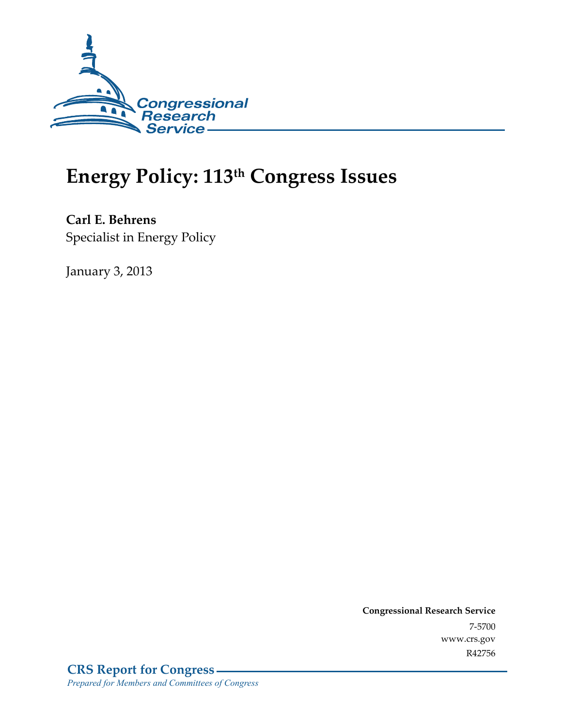

# **Energy Policy: 113th Congress Issues**

**Carl E. Behrens**  Specialist in Energy Policy

January 3, 2013

**Congressional Research Service**  7-5700 www.crs.gov R42756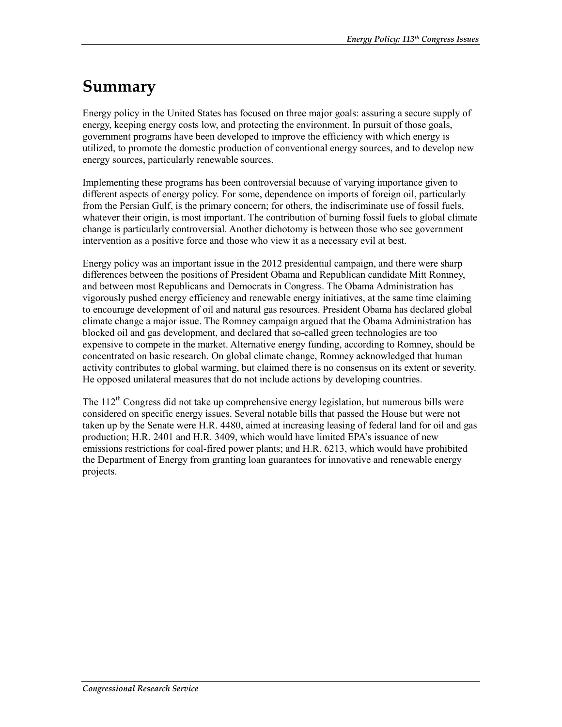## **Summary**

Energy policy in the United States has focused on three major goals: assuring a secure supply of energy, keeping energy costs low, and protecting the environment. In pursuit of those goals, government programs have been developed to improve the efficiency with which energy is utilized, to promote the domestic production of conventional energy sources, and to develop new energy sources, particularly renewable sources.

Implementing these programs has been controversial because of varying importance given to different aspects of energy policy. For some, dependence on imports of foreign oil, particularly from the Persian Gulf, is the primary concern; for others, the indiscriminate use of fossil fuels, whatever their origin, is most important. The contribution of burning fossil fuels to global climate change is particularly controversial. Another dichotomy is between those who see government intervention as a positive force and those who view it as a necessary evil at best.

Energy policy was an important issue in the 2012 presidential campaign, and there were sharp differences between the positions of President Obama and Republican candidate Mitt Romney, and between most Republicans and Democrats in Congress. The Obama Administration has vigorously pushed energy efficiency and renewable energy initiatives, at the same time claiming to encourage development of oil and natural gas resources. President Obama has declared global climate change a major issue. The Romney campaign argued that the Obama Administration has blocked oil and gas development, and declared that so-called green technologies are too expensive to compete in the market. Alternative energy funding, according to Romney, should be concentrated on basic research. On global climate change, Romney acknowledged that human activity contributes to global warming, but claimed there is no consensus on its extent or severity. He opposed unilateral measures that do not include actions by developing countries.

The 112<sup>th</sup> Congress did not take up comprehensive energy legislation, but numerous bills were considered on specific energy issues. Several notable bills that passed the House but were not taken up by the Senate were H.R. 4480, aimed at increasing leasing of federal land for oil and gas production; H.R. 2401 and H.R. 3409, which would have limited EPA's issuance of new emissions restrictions for coal-fired power plants; and H.R. 6213, which would have prohibited the Department of Energy from granting loan guarantees for innovative and renewable energy projects.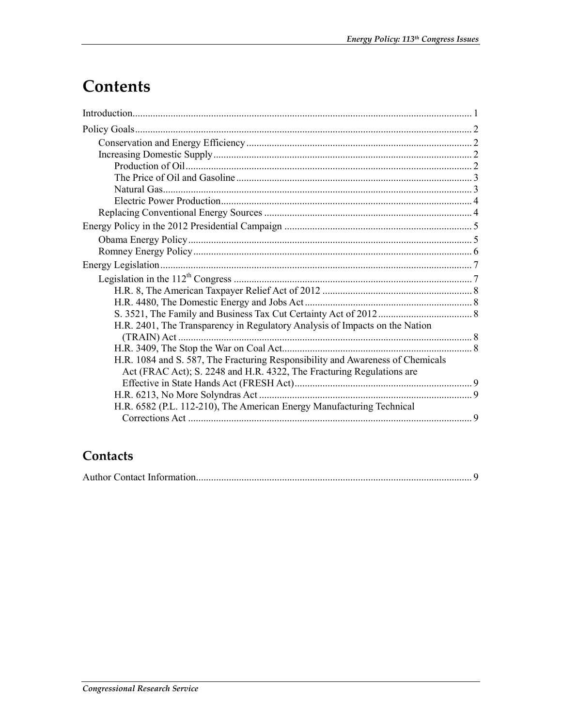## **Contents**

| H.R. 2401, The Transparency in Regulatory Analysis of Impacts on the Nation                                                                             |  |
|---------------------------------------------------------------------------------------------------------------------------------------------------------|--|
|                                                                                                                                                         |  |
| H.R. 1084 and S. 587, The Fracturing Responsibility and Awareness of Chemicals<br>Act (FRAC Act); S. 2248 and H.R. 4322, The Fracturing Regulations are |  |
|                                                                                                                                                         |  |
|                                                                                                                                                         |  |
| H.R. 6582 (P.L. 112-210), The American Energy Manufacturing Technical                                                                                   |  |

### Contacts

|--|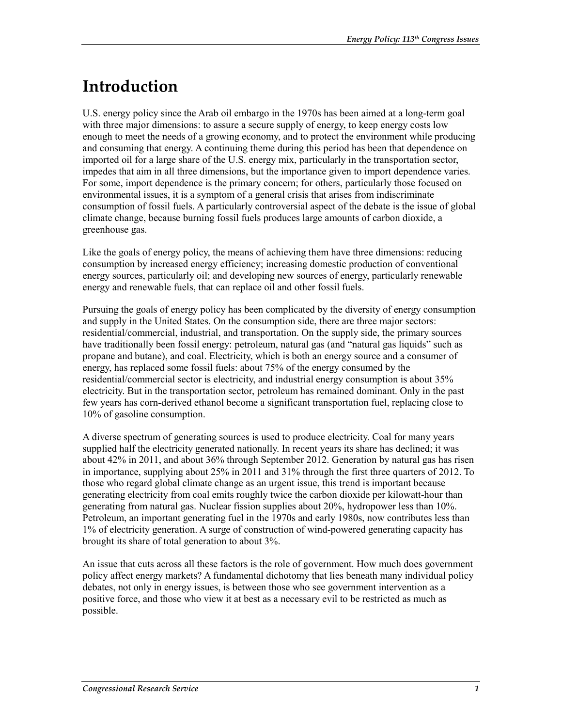## **Introduction**

U.S. energy policy since the Arab oil embargo in the 1970s has been aimed at a long-term goal with three major dimensions: to assure a secure supply of energy, to keep energy costs low enough to meet the needs of a growing economy, and to protect the environment while producing and consuming that energy. A continuing theme during this period has been that dependence on imported oil for a large share of the U.S. energy mix, particularly in the transportation sector, impedes that aim in all three dimensions, but the importance given to import dependence varies. For some, import dependence is the primary concern; for others, particularly those focused on environmental issues, it is a symptom of a general crisis that arises from indiscriminate consumption of fossil fuels. A particularly controversial aspect of the debate is the issue of global climate change, because burning fossil fuels produces large amounts of carbon dioxide, a greenhouse gas.

Like the goals of energy policy, the means of achieving them have three dimensions: reducing consumption by increased energy efficiency; increasing domestic production of conventional energy sources, particularly oil; and developing new sources of energy, particularly renewable energy and renewable fuels, that can replace oil and other fossil fuels.

Pursuing the goals of energy policy has been complicated by the diversity of energy consumption and supply in the United States. On the consumption side, there are three major sectors: residential/commercial, industrial, and transportation. On the supply side, the primary sources have traditionally been fossil energy: petroleum, natural gas (and "natural gas liquids" such as propane and butane), and coal. Electricity, which is both an energy source and a consumer of energy, has replaced some fossil fuels: about 75% of the energy consumed by the residential/commercial sector is electricity, and industrial energy consumption is about 35% electricity. But in the transportation sector, petroleum has remained dominant. Only in the past few years has corn-derived ethanol become a significant transportation fuel, replacing close to 10% of gasoline consumption.

A diverse spectrum of generating sources is used to produce electricity. Coal for many years supplied half the electricity generated nationally. In recent years its share has declined; it was about 42% in 2011, and about 36% through September 2012. Generation by natural gas has risen in importance, supplying about 25% in 2011 and 31% through the first three quarters of 2012. To those who regard global climate change as an urgent issue, this trend is important because generating electricity from coal emits roughly twice the carbon dioxide per kilowatt-hour than generating from natural gas. Nuclear fission supplies about 20%, hydropower less than 10%. Petroleum, an important generating fuel in the 1970s and early 1980s, now contributes less than 1% of electricity generation. A surge of construction of wind-powered generating capacity has brought its share of total generation to about 3%.

An issue that cuts across all these factors is the role of government. How much does government policy affect energy markets? A fundamental dichotomy that lies beneath many individual policy debates, not only in energy issues, is between those who see government intervention as a positive force, and those who view it at best as a necessary evil to be restricted as much as possible.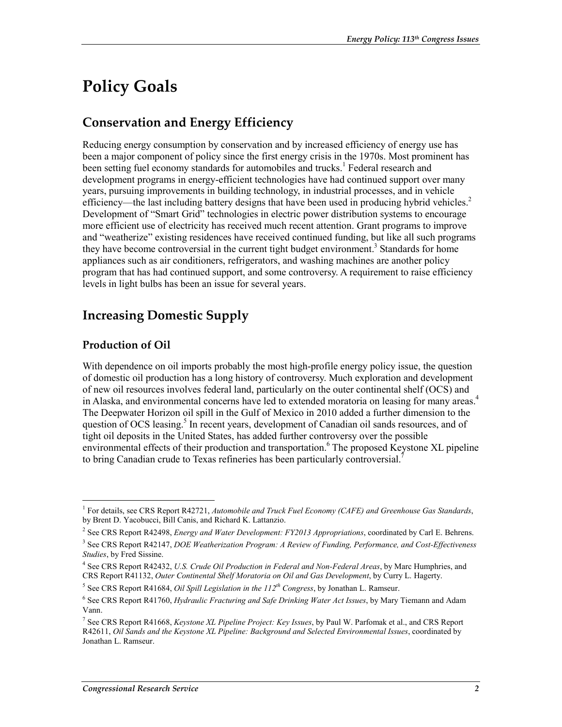## **Policy Goals**

### **Conservation and Energy Efficiency**

Reducing energy consumption by conservation and by increased efficiency of energy use has been a major component of policy since the first energy crisis in the 1970s. Most prominent has been setting fuel economy standards for automobiles and trucks.<sup>1</sup> Federal research and development programs in energy-efficient technologies have had continued support over many years, pursuing improvements in building technology, in industrial processes, and in vehicle efficiency—the last including battery designs that have been used in producing hybrid vehicles.<sup>2</sup> Development of "Smart Grid" technologies in electric power distribution systems to encourage more efficient use of electricity has received much recent attention. Grant programs to improve and "weatherize" existing residences have received continued funding, but like all such programs they have become controversial in the current tight budget environment.<sup>3</sup> Standards for home appliances such as air conditioners, refrigerators, and washing machines are another policy program that has had continued support, and some controversy. A requirement to raise efficiency levels in light bulbs has been an issue for several years.

### **Increasing Domestic Supply**

#### **Production of Oil**

<u>.</u>

With dependence on oil imports probably the most high-profile energy policy issue, the question of domestic oil production has a long history of controversy. Much exploration and development of new oil resources involves federal land, particularly on the outer continental shelf (OCS) and in Alaska, and environmental concerns have led to extended moratoria on leasing for many areas.<sup>4</sup> The Deepwater Horizon oil spill in the Gulf of Mexico in 2010 added a further dimension to the question of OCS leasing.<sup>5</sup> In recent years, development of Canadian oil sands resources, and of tight oil deposits in the United States, has added further controversy over the possible environmental effects of their production and transportation.<sup>6</sup> The proposed Keystone XL pipeline to bring Canadian crude to Texas refineries has been particularly controversial.<sup>7</sup>

<sup>&</sup>lt;sup>1</sup> For details, see CRS Report R42721, *Automobile and Truck Fuel Economy (CAFE) and Greenhouse Gas Standards*, by Brent D. Yacobucci, Bill Canis, and Richard K. Lattanzio.

<sup>2</sup> See CRS Report R42498, *Energy and Water Development: FY2013 Appropriations*, coordinated by Carl E. Behrens.

<sup>3</sup> See CRS Report R42147, *DOE Weatherization Program: A Review of Funding, Performance, and Cost-Effectiveness Studies*, by Fred Sissine.

<sup>4</sup> See CRS Report R42432, *U.S. Crude Oil Production in Federal and Non-Federal Areas*, by Marc Humphries, and CRS Report R41132, *Outer Continental Shelf Moratoria on Oil and Gas Development*, by Curry L. Hagerty.

<sup>5</sup> See CRS Report R41684, *Oil Spill Legislation in the 112th Congress*, by Jonathan L. Ramseur.

<sup>6</sup> See CRS Report R41760, *Hydraulic Fracturing and Safe Drinking Water Act Issues*, by Mary Tiemann and Adam Vann.

<sup>7</sup> See CRS Report R41668, *Keystone XL Pipeline Project: Key Issues*, by Paul W. Parfomak et al., and CRS Report R42611, *Oil Sands and the Keystone XL Pipeline: Background and Selected Environmental Issues*, coordinated by Jonathan L. Ramseur.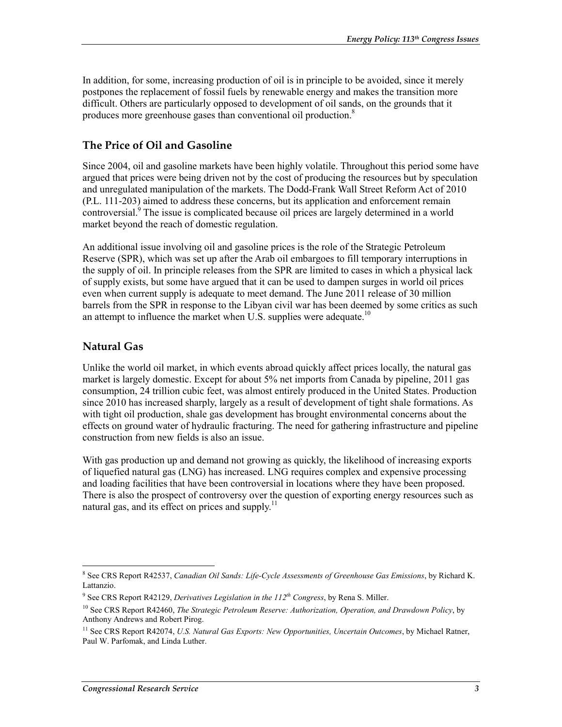In addition, for some, increasing production of oil is in principle to be avoided, since it merely postpones the replacement of fossil fuels by renewable energy and makes the transition more difficult. Others are particularly opposed to development of oil sands, on the grounds that it produces more greenhouse gases than conventional oil production.<sup>8</sup>

#### **The Price of Oil and Gasoline**

Since 2004, oil and gasoline markets have been highly volatile. Throughout this period some have argued that prices were being driven not by the cost of producing the resources but by speculation and unregulated manipulation of the markets. The Dodd-Frank Wall Street Reform Act of 2010 (P.L. 111-203) aimed to address these concerns, but its application and enforcement remain controversial.<sup>9</sup> The issue is complicated because oil prices are largely determined in a world market beyond the reach of domestic regulation.

An additional issue involving oil and gasoline prices is the role of the Strategic Petroleum Reserve (SPR), which was set up after the Arab oil embargoes to fill temporary interruptions in the supply of oil. In principle releases from the SPR are limited to cases in which a physical lack of supply exists, but some have argued that it can be used to dampen surges in world oil prices even when current supply is adequate to meet demand. The June 2011 release of 30 million barrels from the SPR in response to the Libyan civil war has been deemed by some critics as such an attempt to influence the market when U.S. supplies were adequate.<sup>10</sup>

#### **Natural Gas**

Unlike the world oil market, in which events abroad quickly affect prices locally, the natural gas market is largely domestic. Except for about 5% net imports from Canada by pipeline, 2011 gas consumption, 24 trillion cubic feet, was almost entirely produced in the United States. Production since 2010 has increased sharply, largely as a result of development of tight shale formations. As with tight oil production, shale gas development has brought environmental concerns about the effects on ground water of hydraulic fracturing. The need for gathering infrastructure and pipeline construction from new fields is also an issue.

With gas production up and demand not growing as quickly, the likelihood of increasing exports of liquefied natural gas (LNG) has increased. LNG requires complex and expensive processing and loading facilities that have been controversial in locations where they have been proposed. There is also the prospect of controversy over the question of exporting energy resources such as natural gas, and its effect on prices and supply. $11$ 

 8 See CRS Report R42537, *Canadian Oil Sands: Life-Cycle Assessments of Greenhouse Gas Emissions*, by Richard K. Lattanzio.

<sup>&</sup>lt;sup>9</sup> See CRS Report R42129, *Derivatives Legislation in the 112<sup>th</sup> Congress*, by Rena S. Miller.

<sup>10</sup> See CRS Report R42460, *The Strategic Petroleum Reserve: Authorization, Operation, and Drawdown Policy*, by Anthony Andrews and Robert Pirog.

<sup>&</sup>lt;sup>11</sup> See CRS Report R42074, *U.S. Natural Gas Exports: New Opportunities, Uncertain Outcomes*, by Michael Ratner, Paul W. Parfomak, and Linda Luther.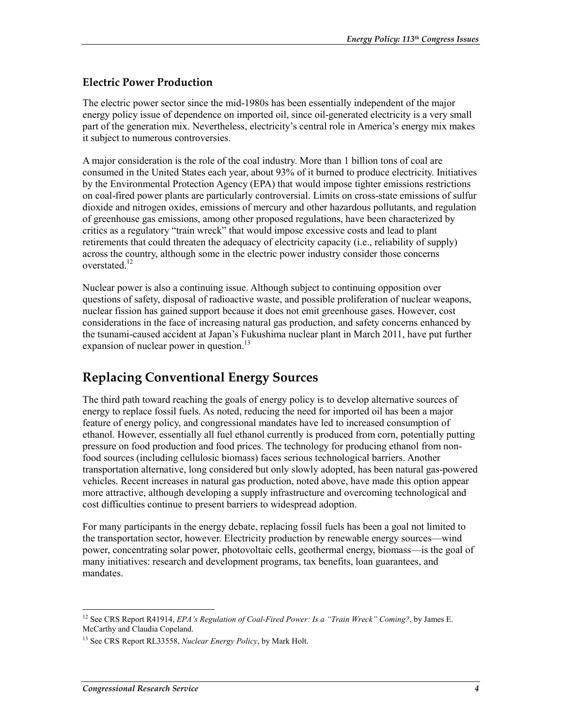#### **Electric Power Production**

The electric power sector since the mid-1980s has been essentially independent of the major energy policy issue of dependence on imported oil, since oil-generated electricity is a very small part of the generation mix. Nevertheless, electricity's central role in America's energy mix makes it subject to numerous controversies.

A major consideration is the role of the coal industry. More than 1 billion tons of coal are consumed in the United States each year, about 93% of it burned to produce electricity. Initiatives by the Environmental Protection Agency (EPA) that would impose tighter emissions restrictions on coal-fired power plants are particularly controversial. Limits on cross-state emissions of sulfur dioxide and nitrogen oxides, emissions of mercury and other hazardous pollutants, and regulation of greenhouse gas emissions, among other proposed regulations, have been characterized by critics as a regulatory "train wreck" that would impose excessive costs and lead to plant retirements that could threaten the adequacy of electricity capacity (i.e., reliability of supply) across the country, although some in the electric power industry consider those concerns overstated<sup>12</sup>

Nuclear power is also a continuing issue. Although subject to continuing opposition over questions of safety, disposal of radioactive waste, and possible proliferation of nuclear weapons, nuclear fission has gained support because it does not emit greenhouse gases. However, cost considerations in the face of increasing natural gas production, and safety concerns enhanced by the tsunami-caused accident at Japan's Fukushima nuclear plant in March 2011, have put further expansion of nuclear power in question. $^{13}$ 

### **Replacing Conventional Energy Sources**

The third path toward reaching the goals of energy policy is to develop alternative sources of energy to replace fossil fuels. As noted, reducing the need for imported oil has been a major feature of energy policy, and congressional mandates have led to increased consumption of ethanol. However, essentially all fuel ethanol currently is produced from corn, potentially putting pressure on food production and food prices. The technology for producing ethanol from nonfood sources (including cellulosic biomass) faces serious technological barriers. Another transportation alternative, long considered but only slowly adopted, has been natural gas-powered vehicles. Recent increases in natural gas production, noted above, have made this option appear more attractive, although developing a supply infrastructure and overcoming technological and cost difficulties continue to present barriers to widespread adoption.

For many participants in the energy debate, replacing fossil fuels has been a goal not limited to the transportation sector, however. Electricity production by renewable energy sources—wind power, concentrating solar power, photovoltaic cells, geothermal energy, biomass—is the goal of many initiatives: research and development programs, tax benefits, loan guarantees, and mandates.

1

<sup>&</sup>lt;sup>12</sup> See CRS Report R41914, *EPA's Regulation of Coal-Fired Power: Is a "Train Wreck" Coming?*, by James E. McCarthy and Claudia Copeland.

<sup>13</sup> See CRS Report RL33558, *Nuclear Energy Policy*, by Mark Holt.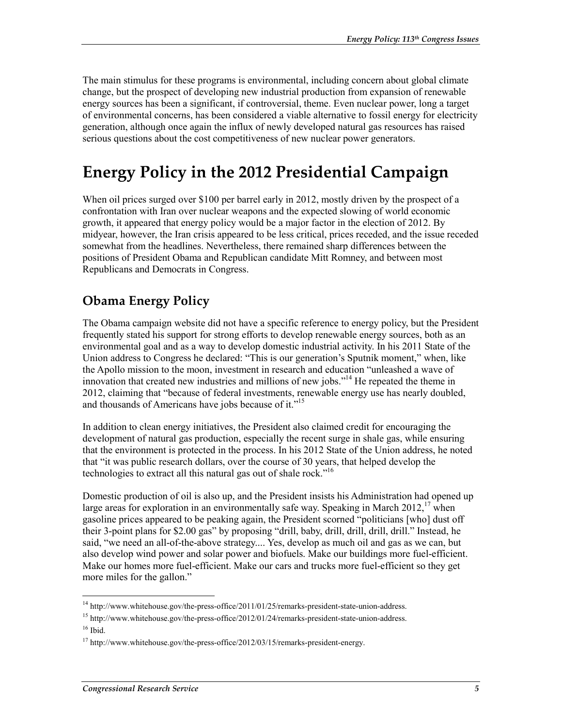The main stimulus for these programs is environmental, including concern about global climate change, but the prospect of developing new industrial production from expansion of renewable energy sources has been a significant, if controversial, theme. Even nuclear power, long a target of environmental concerns, has been considered a viable alternative to fossil energy for electricity generation, although once again the influx of newly developed natural gas resources has raised serious questions about the cost competitiveness of new nuclear power generators.

## **Energy Policy in the 2012 Presidential Campaign**

When oil prices surged over \$100 per barrel early in 2012, mostly driven by the prospect of a confrontation with Iran over nuclear weapons and the expected slowing of world economic growth, it appeared that energy policy would be a major factor in the election of 2012. By midyear, however, the Iran crisis appeared to be less critical, prices receded, and the issue receded somewhat from the headlines. Nevertheless, there remained sharp differences between the positions of President Obama and Republican candidate Mitt Romney, and between most Republicans and Democrats in Congress.

### **Obama Energy Policy**

The Obama campaign website did not have a specific reference to energy policy, but the President frequently stated his support for strong efforts to develop renewable energy sources, both as an environmental goal and as a way to develop domestic industrial activity. In his 2011 State of the Union address to Congress he declared: "This is our generation's Sputnik moment," when, like the Apollo mission to the moon, investment in research and education "unleashed a wave of innovation that created new industries and millions of new jobs."<sup>14</sup> He repeated the theme in 2012, claiming that "because of federal investments, renewable energy use has nearly doubled, and thousands of Americans have jobs because of it."<sup>15</sup>

In addition to clean energy initiatives, the President also claimed credit for encouraging the development of natural gas production, especially the recent surge in shale gas, while ensuring that the environment is protected in the process. In his 2012 State of the Union address, he noted that "it was public research dollars, over the course of 30 years, that helped develop the technologies to extract all this natural gas out of shale rock."<sup>16</sup>

Domestic production of oil is also up, and the President insists his Administration had opened up large areas for exploration in an environmentally safe way. Speaking in March  $2012<sup>17</sup>$  when gasoline prices appeared to be peaking again, the President scorned "politicians [who] dust off their 3-point plans for \$2.00 gas" by proposing "drill, baby, drill, drill, drill, drill." Instead, he said, "we need an all-of-the-above strategy.... Yes, develop as much oil and gas as we can, but also develop wind power and solar power and biofuels. Make our buildings more fuel-efficient. Make our homes more fuel-efficient. Make our cars and trucks more fuel-efficient so they get more miles for the gallon."

<sup>&</sup>lt;u>.</u> <sup>14</sup> http://www.whitehouse.gov/the-press-office/2011/01/25/remarks-president-state-union-address.

 $15$  http://www.whitehouse.gov/the-press-office/2012/01/24/remarks-president-state-union-address.

 $16$  Ibid.

 $17 \text{ http://www.whitehouse.gov/the-press-office}/2012/03/15/remarks-president-energy.$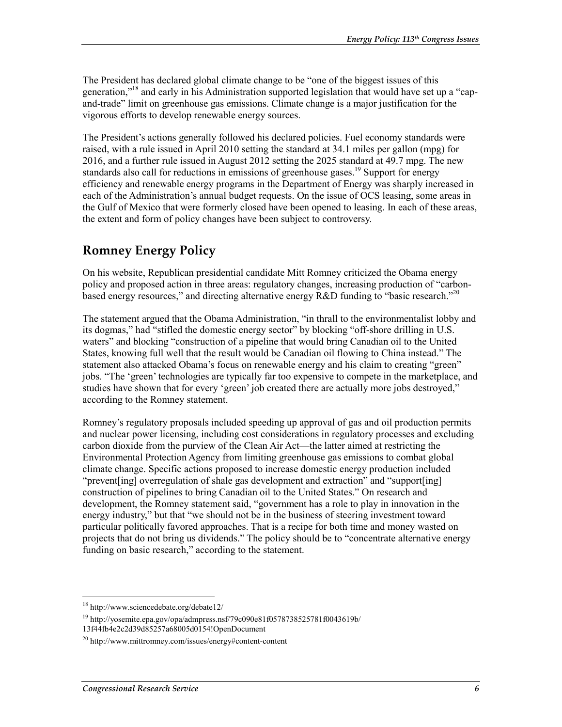The President has declared global climate change to be "one of the biggest issues of this generation,"<sup>18</sup> and early in his Administration supported legislation that would have set up a "capand-trade" limit on greenhouse gas emissions. Climate change is a major justification for the vigorous efforts to develop renewable energy sources.

The President's actions generally followed his declared policies. Fuel economy standards were raised, with a rule issued in April 2010 setting the standard at 34.1 miles per gallon (mpg) for 2016, and a further rule issued in August 2012 setting the 2025 standard at 49.7 mpg. The new standards also call for reductions in emissions of greenhouse gases.<sup>19</sup> Support for energy efficiency and renewable energy programs in the Department of Energy was sharply increased in each of the Administration's annual budget requests. On the issue of OCS leasing, some areas in the Gulf of Mexico that were formerly closed have been opened to leasing. In each of these areas, the extent and form of policy changes have been subject to controversy.

### **Romney Energy Policy**

On his website, Republican presidential candidate Mitt Romney criticized the Obama energy policy and proposed action in three areas: regulatory changes, increasing production of "carbonbased energy resources," and directing alternative energy R&D funding to "basic research."<sup>20</sup>

The statement argued that the Obama Administration, "in thrall to the environmentalist lobby and its dogmas," had "stifled the domestic energy sector" by blocking "off-shore drilling in U.S. waters" and blocking "construction of a pipeline that would bring Canadian oil to the United States, knowing full well that the result would be Canadian oil flowing to China instead." The statement also attacked Obama's focus on renewable energy and his claim to creating "green" jobs. "The 'green' technologies are typically far too expensive to compete in the marketplace, and studies have shown that for every 'green' job created there are actually more jobs destroyed," according to the Romney statement.

Romney's regulatory proposals included speeding up approval of gas and oil production permits and nuclear power licensing, including cost considerations in regulatory processes and excluding carbon dioxide from the purview of the Clean Air Act—the latter aimed at restricting the Environmental Protection Agency from limiting greenhouse gas emissions to combat global climate change. Specific actions proposed to increase domestic energy production included "prevent[ing] overregulation of shale gas development and extraction" and "support[ing] construction of pipelines to bring Canadian oil to the United States." On research and development, the Romney statement said, "government has a role to play in innovation in the energy industry," but that "we should not be in the business of steering investment toward particular politically favored approaches. That is a recipe for both time and money wasted on projects that do not bring us dividends." The policy should be to "concentrate alternative energy funding on basic research," according to the statement.

1

<sup>18</sup> http://www.sciencedebate.org/debate12/

<sup>19</sup> http://yosemite.epa.gov/opa/admpress.nsf/79c090e81f0578738525781f0043619b/ 13f44fb4e2c2d39d85257a68005d0154!OpenDocument

 $^{20}$  http://www.mittromney.com/issues/energy#content-content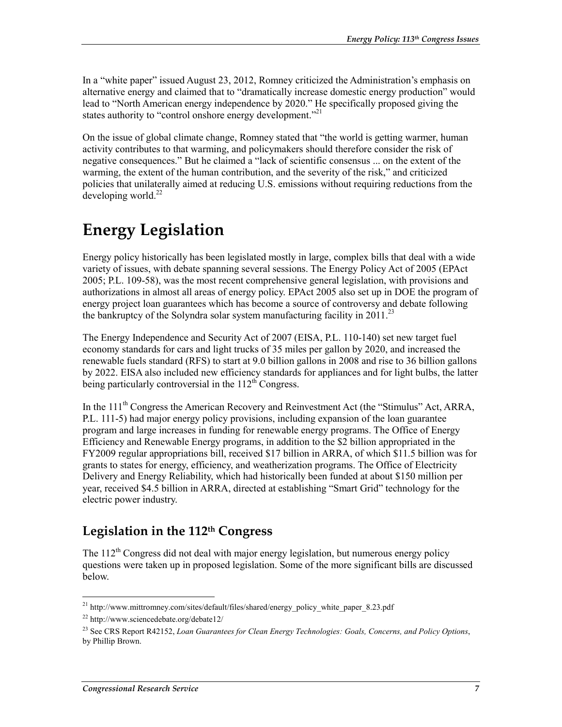In a "white paper" issued August 23, 2012, Romney criticized the Administration's emphasis on alternative energy and claimed that to "dramatically increase domestic energy production" would lead to "North American energy independence by 2020." He specifically proposed giving the states authority to "control onshore energy development."<sup>21</sup>

On the issue of global climate change, Romney stated that "the world is getting warmer, human activity contributes to that warming, and policymakers should therefore consider the risk of negative consequences." But he claimed a "lack of scientific consensus ... on the extent of the warming, the extent of the human contribution, and the severity of the risk," and criticized policies that unilaterally aimed at reducing U.S. emissions without requiring reductions from the developing world. $^{22}$ 

## **Energy Legislation**

Energy policy historically has been legislated mostly in large, complex bills that deal with a wide variety of issues, with debate spanning several sessions. The Energy Policy Act of 2005 (EPAct 2005; P.L. 109-58), was the most recent comprehensive general legislation, with provisions and authorizations in almost all areas of energy policy. EPAct 2005 also set up in DOE the program of energy project loan guarantees which has become a source of controversy and debate following the bankruptcy of the Solyndra solar system manufacturing facility in  $2011$ <sup>23</sup>

The Energy Independence and Security Act of 2007 (EISA, P.L. 110-140) set new target fuel economy standards for cars and light trucks of 35 miles per gallon by 2020, and increased the renewable fuels standard (RFS) to start at 9.0 billion gallons in 2008 and rise to 36 billion gallons by 2022. EISA also included new efficiency standards for appliances and for light bulbs, the latter being particularly controversial in the  $112<sup>th</sup>$  Congress.

In the 111<sup>th</sup> Congress the American Recovery and Reinvestment Act (the "Stimulus" Act, ARRA, P.L. 111-5) had major energy policy provisions, including expansion of the loan guarantee program and large increases in funding for renewable energy programs. The Office of Energy Efficiency and Renewable Energy programs, in addition to the \$2 billion appropriated in the FY2009 regular appropriations bill, received \$17 billion in ARRA, of which \$11.5 billion was for grants to states for energy, efficiency, and weatherization programs. The Office of Electricity Delivery and Energy Reliability, which had historically been funded at about \$150 million per year, received \$4.5 billion in ARRA, directed at establishing "Smart Grid" technology for the electric power industry.

### **Legislation in the 112th Congress**

The  $112<sup>th</sup>$  Congress did not deal with major energy legislation, but numerous energy policy questions were taken up in proposed legislation. Some of the more significant bills are discussed below.

<sup>1</sup> <sup>21</sup> http://www.mittromney.com/sites/default/files/shared/energy\_policy\_white\_paper\_8.23.pdf

<sup>22</sup> http://www.sciencedebate.org/debate12/

<sup>23</sup> See CRS Report R42152, *Loan Guarantees for Clean Energy Technologies: Goals, Concerns, and Policy Options*, by Phillip Brown.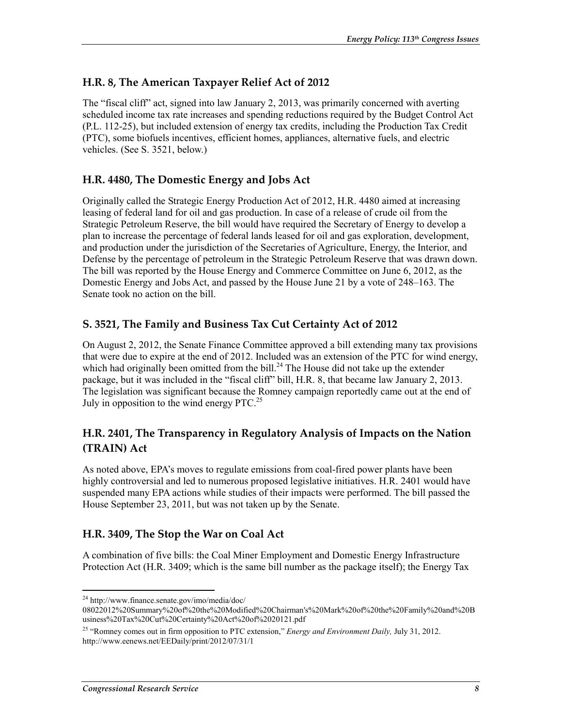#### **H.R. 8, The American Taxpayer Relief Act of 2012**

The "fiscal cliff" act, signed into law January 2, 2013, was primarily concerned with averting scheduled income tax rate increases and spending reductions required by the Budget Control Act (P.L. 112-25), but included extension of energy tax credits, including the Production Tax Credit (PTC), some biofuels incentives, efficient homes, appliances, alternative fuels, and electric vehicles. (See S. 3521, below.)

#### **H.R. 4480, The Domestic Energy and Jobs Act**

Originally called the Strategic Energy Production Act of 2012, H.R. 4480 aimed at increasing leasing of federal land for oil and gas production. In case of a release of crude oil from the Strategic Petroleum Reserve, the bill would have required the Secretary of Energy to develop a plan to increase the percentage of federal lands leased for oil and gas exploration, development, and production under the jurisdiction of the Secretaries of Agriculture, Energy, the Interior, and Defense by the percentage of petroleum in the Strategic Petroleum Reserve that was drawn down. The bill was reported by the House Energy and Commerce Committee on June 6, 2012, as the Domestic Energy and Jobs Act, and passed by the House June 21 by a vote of 248–163. The Senate took no action on the bill.

#### **S. 3521, The Family and Business Tax Cut Certainty Act of 2012**

On August 2, 2012, the Senate Finance Committee approved a bill extending many tax provisions that were due to expire at the end of 2012. Included was an extension of the PTC for wind energy, which had originally been omitted from the bill.<sup>24</sup> The House did not take up the extender package, but it was included in the "fiscal cliff" bill, H.R. 8, that became law January 2, 2013. The legislation was significant because the Romney campaign reportedly came out at the end of July in opposition to the wind energy  $\text{PTC}^{25}$ 

### **H.R. 2401, The Transparency in Regulatory Analysis of Impacts on the Nation (TRAIN) Act**

As noted above, EPA's moves to regulate emissions from coal-fired power plants have been highly controversial and led to numerous proposed legislative initiatives. H.R. 2401 would have suspended many EPA actions while studies of their impacts were performed. The bill passed the House September 23, 2011, but was not taken up by the Senate.

#### **H.R. 3409, The Stop the War on Coal Act**

A combination of five bills: the Coal Miner Employment and Domestic Energy Infrastructure Protection Act (H.R. 3409; which is the same bill number as the package itself); the Energy Tax

<sup>1</sup> 24 http://www.finance.senate.gov/imo/media/doc/

<sup>08022012%20</sup>Summary%20of%20the%20Modified%20Chairman's%20Mark%20of%20the%20Family%20and%20B usiness%20Tax%20Cut%20Certainty%20Act%20of%2020121.pdf

<sup>25 &</sup>quot;Romney comes out in firm opposition to PTC extension," *Energy and Environment Daily,* July 31, 2012. http://www.eenews.net/EEDaily/print/2012/07/31/1